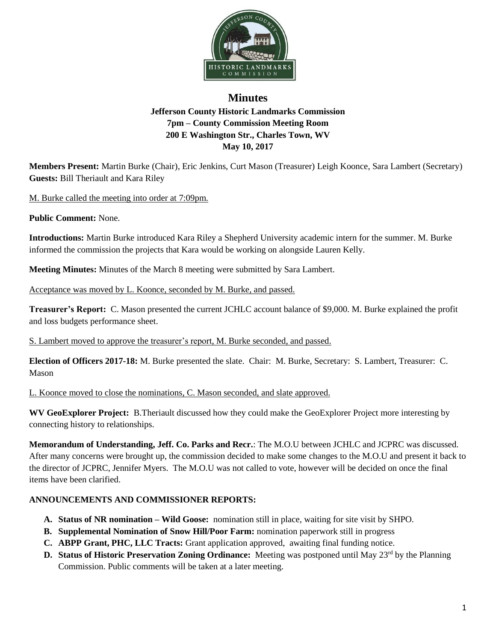

## **Minutes Jefferson County Historic Landmarks Commission 7pm – County Commission Meeting Room 200 E Washington Str., Charles Town, WV May 10, 2017**

**Members Present:** Martin Burke (Chair), Eric Jenkins, Curt Mason (Treasurer) Leigh Koonce, Sara Lambert (Secretary) **Guests:** Bill Theriault and Kara Riley

M. Burke called the meeting into order at 7:09pm.

**Public Comment:** None.

**Introductions:** Martin Burke introduced Kara Riley a Shepherd University academic intern for the summer. M. Burke informed the commission the projects that Kara would be working on alongside Lauren Kelly.

**Meeting Minutes:** Minutes of the March 8 meeting were submitted by Sara Lambert.

Acceptance was moved by L. Koonce, seconded by M. Burke, and passed.

**Treasurer's Report:** C. Mason presented the current JCHLC account balance of \$9,000. M. Burke explained the profit and loss budgets performance sheet.

S. Lambert moved to approve the treasurer's report, M. Burke seconded, and passed.

**Election of Officers 2017-18:** M. Burke presented the slate. Chair: M. Burke, Secretary: S. Lambert, Treasurer: C. Mason

L. Koonce moved to close the nominations, C. Mason seconded, and slate approved.

**WV GeoExplorer Project:** B.Theriault discussed how they could make the GeoExplorer Project more interesting by connecting history to relationships.

**Memorandum of Understanding, Jeff. Co. Parks and Recr.**: The M.O.U between JCHLC and JCPRC was discussed. After many concerns were brought up, the commission decided to make some changes to the M.O.U and present it back to the director of JCPRC, Jennifer Myers. The M.O.U was not called to vote, however will be decided on once the final items have been clarified.

## **ANNOUNCEMENTS AND COMMISSIONER REPORTS:**

- **A. Status of NR nomination – Wild Goose:** nomination still in place, waiting for site visit by SHPO.
- **B. Supplemental Nomination of Snow Hill/Poor Farm:** nomination paperwork still in progress
- **C. ABPP Grant, PHC, LLC Tracts:** Grant application approved, awaiting final funding notice.
- **D. Status of Historic Preservation Zoning Ordinance:** Meeting was postponed until May 23<sup>rd</sup> by the Planning Commission. Public comments will be taken at a later meeting.